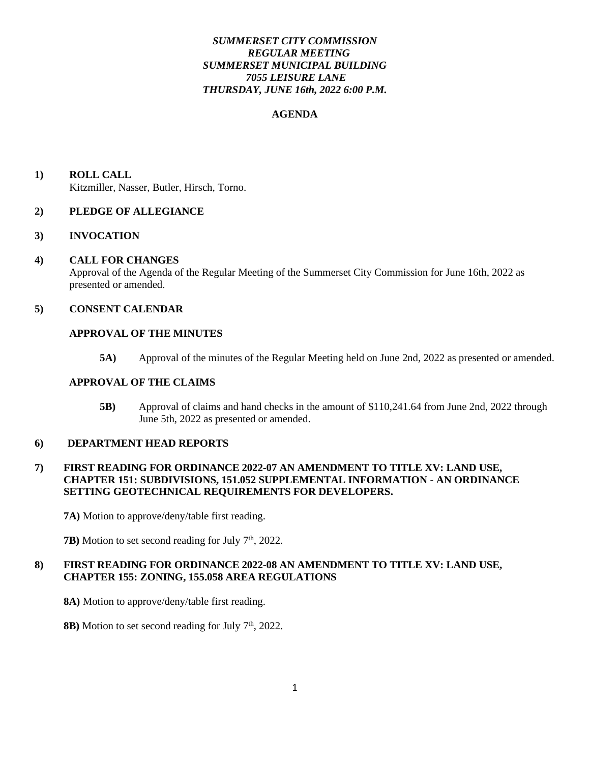### *SUMMERSET CITY COMMISSION REGULAR MEETING SUMMERSET MUNICIPAL BUILDING 7055 LEISURE LANE THURSDAY, JUNE 16th, 2022 6:00 P.M.*

#### **AGENDA**

**1) ROLL CALL** Kitzmiller, Nasser, Butler, Hirsch, Torno.

#### **2) PLEDGE OF ALLEGIANCE**

#### **3) INVOCATION**

#### **4) CALL FOR CHANGES**

 Approval of the Agenda of the Regular Meeting of the Summerset City Commission for June 16th, 2022 as presented or amended.

#### **5) CONSENT CALENDAR**

#### **APPROVAL OF THE MINUTES**

**5A)** Approval of the minutes of the Regular Meeting held on June 2nd, 2022 as presented or amended.

#### **APPROVAL OF THE CLAIMS**

**5B)** Approval of claims and hand checks in the amount of \$110,241.64 from June 2nd, 2022 through June 5th, 2022 as presented or amended.

#### **6) DEPARTMENT HEAD REPORTS**

### **7) FIRST READING FOR ORDINANCE 2022-07 AN AMENDMENT TO TITLE XV: LAND USE, CHAPTER 151: SUBDIVISIONS, 151.052 SUPPLEMENTAL INFORMATION - AN ORDINANCE SETTING GEOTECHNICAL REQUIREMENTS FOR DEVELOPERS.**

**7A)** Motion to approve/deny/table first reading.

**7B**) Motion to set second reading for July 7<sup>th</sup>, 2022.

# **8) FIRST READING FOR ORDINANCE 2022-08 AN AMENDMENT TO TITLE XV: LAND USE, CHAPTER 155: ZONING, 155.058 AREA REGULATIONS**

- **8A)** Motion to approve/deny/table first reading.
- **8B)** Motion to set second reading for July  $7<sup>th</sup>$ , 2022.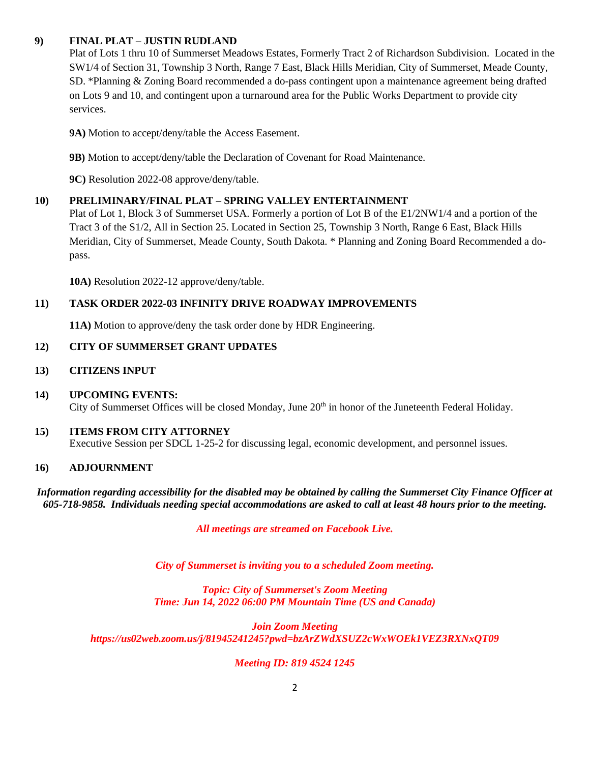# **9) FINAL PLAT – JUSTIN RUDLAND**

Plat of Lots 1 thru 10 of Summerset Meadows Estates, Formerly Tract 2 of Richardson Subdivision. Located in the SW1/4 of Section 31, Township 3 North, Range 7 East, Black Hills Meridian, City of Summerset, Meade County, SD. \*Planning & Zoning Board recommended a do-pass contingent upon a maintenance agreement being drafted on Lots 9 and 10, and contingent upon a turnaround area for the Public Works Department to provide city services.

**9A)** Motion to accept/deny/table the Access Easement.

**9B)** Motion to accept/deny/table the Declaration of Covenant for Road Maintenance.

**9C)** Resolution 2022-08 approve/deny/table.

# **10) PRELIMINARY/FINAL PLAT – SPRING VALLEY ENTERTAINMENT**

Plat of Lot 1, Block 3 of Summerset USA. Formerly a portion of Lot B of the E1/2NW1/4 and a portion of the Tract 3 of the S1/2, All in Section 25. Located in Section 25, Township 3 North, Range 6 East, Black Hills Meridian, City of Summerset, Meade County, South Dakota. \* Planning and Zoning Board Recommended a dopass.

**10A)** Resolution 2022-12 approve/deny/table.

# **11) TASK ORDER 2022-03 INFINITY DRIVE ROADWAY IMPROVEMENTS**

**11A)** Motion to approve/deny the task order done by HDR Engineering.

# **12) CITY OF SUMMERSET GRANT UPDATES**

# **13) CITIZENS INPUT**

# **14) UPCOMING EVENTS:**  City of Summerset Offices will be closed Monday, June 20<sup>th</sup> in honor of the Juneteenth Federal Holiday.

# **15) ITEMS FROM CITY ATTORNEY**

Executive Session per SDCL 1-25-2 for discussing legal, economic development, and personnel issues.

# **16) ADJOURNMENT**

#### *Information regarding accessibility for the disabled may be obtained by calling the Summerset City Finance Officer at 605-718-9858. Individuals needing special accommodations are asked to call at least 48 hours prior to the meeting.*

*All meetings are streamed on Facebook Live.*

*City of Summerset is inviting you to a scheduled Zoom meeting.*

*Topic: City of Summerset's Zoom Meeting Time: Jun 14, 2022 06:00 PM Mountain Time (US and Canada)*

*Join Zoom Meeting https://us02web.zoom.us/j/81945241245?pwd=bzArZWdXSUZ2cWxWOEk1VEZ3RXNxQT09*

# *Meeting ID: 819 4524 1245*